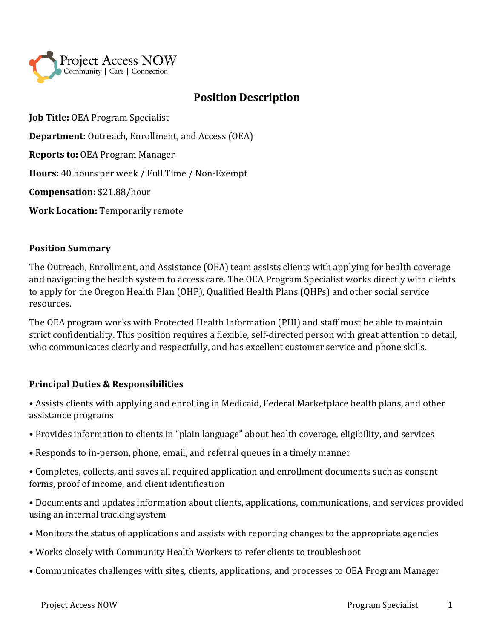

# **Position Description**

**Job Title:** OEA Program Specialist

**Department:** Outreach, Enrollment, and Access (OEA)

**Reports to:** OEA Program Manager

**Hours:** 40 hours per week / Full Time / Non-Exempt

**Compensation:** \$21.88/hour

**Work Location:** Temporarily remote

#### **Position Summary**

The Outreach, Enrollment, and Assistance (OEA) team assists clients with applying for health coverage and navigating the health system to access care. The OEA Program Specialist works directly with clients to apply for the Oregon Health Plan (OHP), Qualified Health Plans (QHPs) and other social service resources.

The OEA program works with Protected Health Information (PHI) and staff must be able to maintain strict confidentiality. This position requires a flexible, self-directed person with great attention to detail, who communicates clearly and respectfully, and has excellent customer service and phone skills.

## **Principal Duties & Responsibilities**

• Assists clients with applying and enrolling in Medicaid, Federal Marketplace health plans, and other assistance programs

- Provides information to clients in "plain language" about health coverage, eligibility, and services
- Responds to in-person, phone, email, and referral queues in a timely manner

• Completes, collects, and saves all required application and enrollment documents such as consent forms, proof of income, and client identification

• Documents and updates information about clients, applications, communications, and services provided using an internal tracking system

- Monitors the status of applications and assists with reporting changes to the appropriate agencies
- Works closely with Community Health Workers to refer clients to troubleshoot
- Communicates challenges with sites, clients, applications, and processes to OEA Program Manager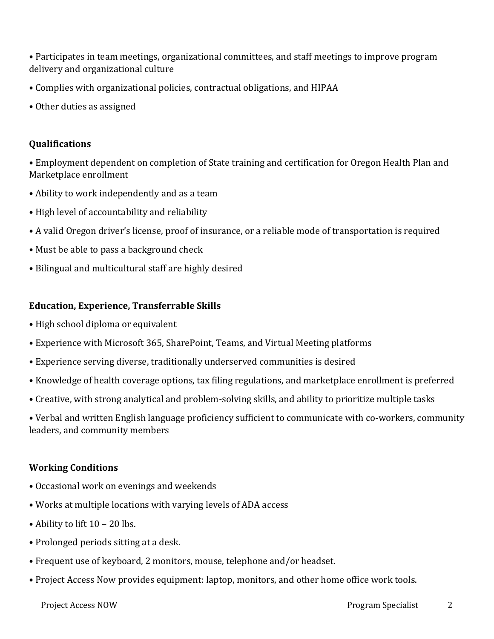• Participates in team meetings, organizational committees, and staff meetings to improve program delivery and organizational culture

- Complies with organizational policies, contractual obligations, and HIPAA
- Other duties as assigned

## **Qualifications**

• Employment dependent on completion of State training and certification for Oregon Health Plan and Marketplace enrollment

- Ability to work independently and as a team
- High level of accountability and reliability
- A valid Oregon driver's license, proof of insurance, or a reliable mode of transportation is required
- Must be able to pass a background check
- Bilingual and multicultural staff are highly desired

## **Education, Experience, Transferrable Skills**

- High school diploma or equivalent
- Experience with Microsoft 365, SharePoint, Teams, and Virtual Meeting platforms
- Experience serving diverse, traditionally underserved communities is desired
- Knowledge of health coverage options, tax filing regulations, and marketplace enrollment is preferred
- Creative, with strong analytical and problem-solving skills, and ability to prioritize multiple tasks

• Verbal and written English language proficiency sufficient to communicate with co-workers, community leaders, and community members

## **Working Conditions**

- Occasional work on evenings and weekends
- Works at multiple locations with varying levels of ADA access
- Ability to lift 10 20 lbs.
- Prolonged periods sitting at a desk.
- Frequent use of keyboard, 2 monitors, mouse, telephone and/or headset.
- Project Access Now provides equipment: laptop, monitors, and other home office work tools.